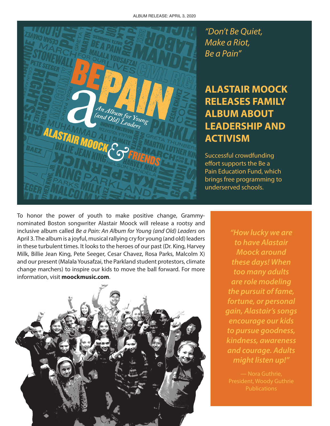

*"Don't Be Quiet, Make a Riot, Be a Pain"*

## **ALASTAIR MOOCK RELEASES FAMILY ALBUM ABOUT LEADERSHIP AND ACTIVISM**

Successful crowdfunding effort supports the Be a Pain Education Fund, which brings free programming to underserved schools.

To honor the power of youth to make positive change, Grammynominated Boston songwriter Alastair Moock will release a rootsy and inclusive album called *Be a Pain: An Album for Young (and Old) Leaders* on April 3. The album is a joyful, musical rallying cry for young (and old) leaders in these turbulent times. It looks to the heroes of our past (Dr. King, Harvey Milk, Billie Jean King, Pete Seeger, Cesar Chavez, Rosa Parks, Malcolm X) and our present (Malala Yousafzai, the Parkland student protestors, climate change marchers) to inspire our kids to move the ball forward. For more information, visit **moockmusic.com**.



*"How lucky we are to have Alastair Moock around these days! When too many adults are role modeling the pursuit of fame, fortune, or personal gain, Alastair's songs encourage our kids to pursue goodness, kindness, awareness and courage. Adults might listen up!"*

— Nora Guthrie, **Publications**